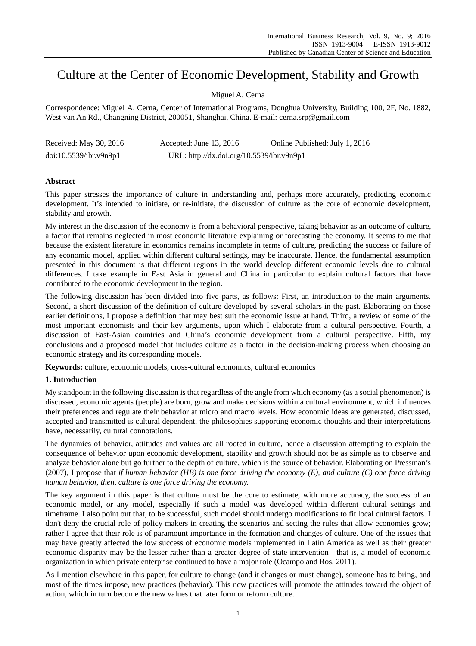# Culture at the Center of Economic Development, Stability and Growth

# Miguel A. Cerna

Correspondence: Miguel A. Cerna, Center of International Programs, Donghua University, Building 100, 2F, No. 1882, West yan An Rd., Changning District, 200051, Shanghai, China. E-mail: cerna.srp@gmail.com

| Received: May 30, 2016 | Accepted: June $13, 2016$                 | Online Published: July 1, 2016 |  |
|------------------------|-------------------------------------------|--------------------------------|--|
| doi:10.5539/ibr.v9n9p1 | URL: http://dx.doi.org/10.5539/ibr.v9n9p1 |                                |  |

# **Abstract**

This paper stresses the importance of culture in understanding and, perhaps more accurately, predicting economic development. It's intended to initiate, or re-initiate, the discussion of culture as the core of economic development, stability and growth.

My interest in the discussion of the economy is from a behavioral perspective, taking behavior as an outcome of culture, a factor that remains neglected in most economic literature explaining or forecasting the economy. It seems to me that because the existent literature in economics remains incomplete in terms of culture, predicting the success or failure of any economic model, applied within different cultural settings, may be inaccurate. Hence, the fundamental assumption presented in this document is that different regions in the world develop different economic levels due to cultural differences. I take example in East Asia in general and China in particular to explain cultural factors that have contributed to the economic development in the region.

The following discussion has been divided into five parts, as follows: First, an introduction to the main arguments. Second, a short discussion of the definition of culture developed by several scholars in the past. Elaborating on those earlier definitions, I propose a definition that may best suit the economic issue at hand. Third, a review of some of the most important economists and their key arguments, upon which I elaborate from a cultural perspective. Fourth, a discussion of East-Asian countries and China's economic development from a cultural perspective. Fifth, my conclusions and a proposed model that includes culture as a factor in the decision-making process when choosing an economic strategy and its corresponding models.

**Keywords:** culture, economic models, cross-cultural economics, cultural economics

# **1. Introduction**

My standpoint in the following discussion is that regardless of the angle from which economy (as a social phenomenon) is discussed, economic agents (people) are born, grow and make decisions within a cultural environment, which influences their preferences and regulate their behavior at micro and macro levels. How economic ideas are generated, discussed, accepted and transmitted is cultural dependent, the philosophies supporting economic thoughts and their interpretations have, necessarily, cultural connotations.

The dynamics of behavior, attitudes and values are all rooted in culture, hence a discussion attempting to explain the consequence of behavior upon economic development, stability and growth should not be as simple as to observe and analyze behavior alone but go further to the depth of culture, which is the source of behavior. Elaborating on Pressman's (2007), I propose that *if human behavior (HB) is one force driving the economy (E), and culture (C) one force driving human behavior, then, culture is one force driving the economy.*

The key argument in this paper is that culture must be the core to estimate, with more accuracy, the success of an economic model, or any model, especially if such a model was developed within different cultural settings and timeframe. I also point out that, to be successful, such model should undergo modifications to fit local cultural factors. I don't deny the crucial role of policy makers in creating the scenarios and setting the rules that allow economies grow; rather I agree that their role is of paramount importance in the formation and changes of culture. One of the issues that may have greatly affected the low success of economic models implemented in Latin America as well as their greater economic disparity may be the lesser rather than a greater degree of state intervention—that is, a model of economic organization in which private enterprise continued to have a major role (Ocampo and Ros, 2011).

As I mention elsewhere in this paper, for culture to change (and it changes or must change), someone has to bring, and most of the times impose, new practices (behavior). This new practices will promote the attitudes toward the object of action, which in turn become the new values that later form or reform culture.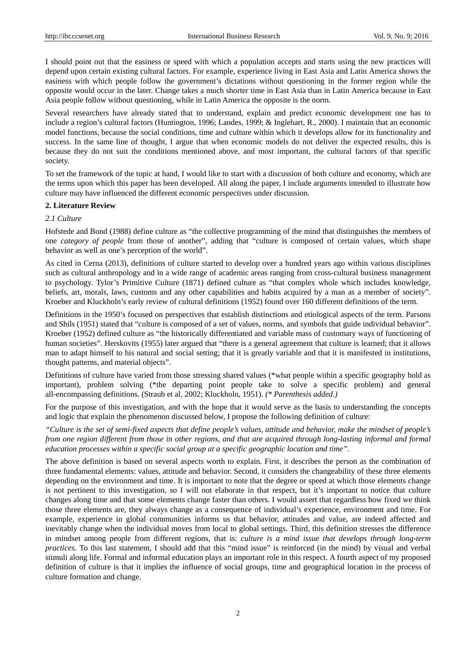I should point out that the easiness or speed with which a population accepts and starts using the new practices will depend upon certain existing cultural factors. For example, experience living in East Asia and Latin America shows the easiness with which people follow the government's dictations without questioning in the former region while the opposite would occur in the later. Change takes a much shorter time in East Asia than in Latin America because in East Asia people follow without questioning, while in Latin America the opposite is the norm.

Several researchers have already stated that to understand, explain and predict economic development one has to include a region's cultural factors (Huntington, 1996; Landes, 1999; & Inglehart, R., 2000). I maintain that an economic model functions, because the social conditions, time and culture within which it develops allow for its functionality and success. In the same line of thought, I argue that when economic models do not deliver the expected results, this is because they do not suit the conditions mentioned above, and most important, the cultural factors of that specific society.

To set the framework of the topic at hand, I would like to start with a discussion of both culture and economy, which are the terms upon which this paper has been developed. All along the paper, I include arguments intended to illustrate how culture may have influenced the different economic perspectives under discussion.

### **2. Literature Review**

#### *2.1 Culture*

Hofstede and Bond (1988) define culture as "the collective programming of the mind that distinguishes the members of one *category of people* from those of another", adding that "culture is composed of certain values, which shape behavior as well as one's perception of the world".

As cited in Cerna (2013), definitions of culture started to develop over a hundred years ago within various disciplines such as cultural anthropology and in a wide range of academic areas ranging from cross-cultural business management to psychology. Tylor's Primitive Culture (1871) defined culture as "that complex whole which includes knowledge, beliefs, art, morals, laws, customs and any other capabilities and habits acquired by a man as a member of society". Kroeber and Kluckholn's early review of cultural definitions (1952) found over 160 different definitions of the term.

Definitions in the 1950's focused on perspectives that establish distinctions and etiological aspects of the term. Parsons and Shils (1951) stated that "culture is composed of a set of values, norms, and symbols that guide individual behavior". Kroeber (1952) defined culture as "the historically differentiated and variable mass of customary ways of functioning of human societies". Herskovits (1955) later argued that "there is a general agreement that culture is learned; that it allows man to adapt himself to his natural and social setting; that it is greatly variable and that it is manifested in institutions, thought patterns, and material objects".

Definitions of culture have varied from those stressing shared values (\*what people within a specific geography hold as important), problem solving (\*the departing point people take to solve a specific problem) and general all-encompassing definitions. (Straub et al. 2002; Kluckholn, 1951). *(\* Parenthesis added.)*

For the purpose of this investigation, and with the hope that it would serve as the basis to understanding the concepts and logic that explain the phenomenon discussed below, I propose the following definition of culture:

*"Culture is the set of semi-fixed aspects that define people's values, attitude and behavior, make the mindset of people's from one region different from those in other regions, and that are acquired through long-lasting informal and formal education processes within a specific social group at a specific geographic location and time".* 

The above definition is based on several aspects worth to explain. First, it describes the person as the combination of three fundamental elements: values, attitude and behavior. Second, it considers the changeability of these three elements depending on the environment and time. It is important to note that the degree or speed at which those elements change is not pertinent to this investigation, so I will not elaborate in that respect, but it's important to notice that culture changes along time and that some elements change faster than others. I would assert that regardless how fixed we think those three elements are, they always change as a consequence of individual's experience, environment and time. For example, experience in global communities informs us that behavior, attitudes and value, are indeed affected and inevitably change when the individual moves from local to global settings. Third, this definition stresses the difference in mindset among people from different regions, that is: *culture is a mind issue that develops through long-term practices*. To this last statement, I should add that this "mind issue" is reinforced (in the mind) by visual and verbal stimuli along life. Formal and informal education plays an important role in this respect. A fourth aspect of my proposed definition of culture is that it implies the influence of social groups, time and geographical location in the process of culture formation and change.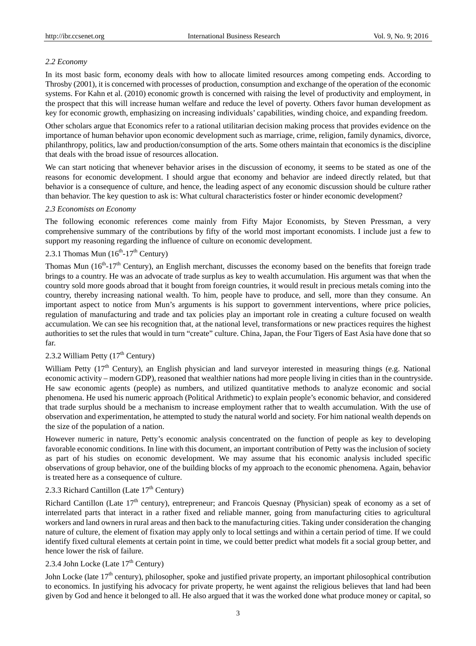#### *2.2 Economy*

In its most basic form, economy deals with how to allocate limited resources among competing ends. According to Throsby (2001), it is concerned with processes of production, consumption and exchange of the operation of the economic systems. For Kahn et al. (2010) economic growth is concerned with raising the level of productivity and employment, in the prospect that this will increase human welfare and reduce the level of poverty. Others favor human development as key for economic growth, emphasizing on increasing individuals' capabilities, winding choice, and expanding freedom.

Other scholars argue that Economics refer to a rational utilitarian decision making process that provides evidence on the importance of human behavior upon economic development such as marriage, crime, religion, family dynamics, divorce, philanthropy, politics, law and production/consumption of the arts. Some others maintain that economics is the discipline that deals with the broad issue of resources allocation.

We can start noticing that whenever behavior arises in the discussion of economy, it seems to be stated as one of the reasons for economic development. I should argue that economy and behavior are indeed directly related, but that behavior is a consequence of culture, and hence, the leading aspect of any economic discussion should be culture rather than behavior. The key question to ask is: What cultural characteristics foster or hinder economic development?

#### *2.3 Economists on Economy*

The following economic references come mainly from Fifty Major Economists, by Steven Pressman, a very comprehensive summary of the contributions by fifty of the world most important economists. I include just a few to support my reasoning regarding the influence of culture on economic development.

# 2.3.1 Thomas Mun  $(16^{th} - 17^{th}$  Century)

Thomas Mun ( $16<sup>th</sup>$ -17<sup>th</sup> Century), an English merchant, discusses the economy based on the benefits that foreign trade brings to a country. He was an advocate of trade surplus as key to wealth accumulation. His argument was that when the country sold more goods abroad that it bought from foreign countries, it would result in precious metals coming into the country, thereby increasing national wealth. To him, people have to produce, and sell, more than they consume. An important aspect to notice from Mun's arguments is his support to government interventions, where price policies, regulation of manufacturing and trade and tax policies play an important role in creating a culture focused on wealth accumulation. We can see his recognition that, at the national level, transformations or new practices requires the highest authorities to set the rules that would in turn "create" culture. China, Japan, the Four Tigers of East Asia have done that so far.

# 2.3.2 William Petty  $(17<sup>th</sup>$  Century)

William Petty (17<sup>th</sup> Century), an English physician and land surveyor interested in measuring things (e.g. National economic activity – modern GDP), reasoned that wealthier nations had more people living in cities than in the countryside. He saw economic agents (people) as numbers, and utilized quantitative methods to analyze economic and social phenomena. He used his numeric approach (Political Arithmetic) to explain people's economic behavior, and considered that trade surplus should be a mechanism to increase employment rather that to wealth accumulation. With the use of observation and experimentation, he attempted to study the natural world and society. For him national wealth depends on the size of the population of a nation.

However numeric in nature, Petty's economic analysis concentrated on the function of people as key to developing favorable economic conditions. In line with this document, an important contribution of Petty was the inclusion of society as part of his studies on economic development. We may assume that his economic analysis included specific observations of group behavior, one of the building blocks of my approach to the economic phenomena. Again, behavior is treated here as a consequence of culture.

# 2.3.3 Richard Cantillon (Late  $17<sup>th</sup>$  Century)

Richard Cantillon (Late 17<sup>th</sup> century), entrepreneur; and Francois Quesnay (Physician) speak of economy as a set of interrelated parts that interact in a rather fixed and reliable manner, going from manufacturing cities to agricultural workers and land owners in rural areas and then back to the manufacturing cities. Taking under consideration the changing nature of culture, the element of fixation may apply only to local settings and within a certain period of time. If we could identify fixed cultural elements at certain point in time, we could better predict what models fit a social group better, and hence lower the risk of failure.

# 2.3.4 John Locke (Late  $17<sup>th</sup>$  Century)

John Locke (late  $17<sup>th</sup>$  century), philosopher, spoke and justified private property, an important philosophical contribution to economics. In justifying his advocacy for private property, he went against the religious believes that land had been given by God and hence it belonged to all. He also argued that it was the worked done what produce money or capital, so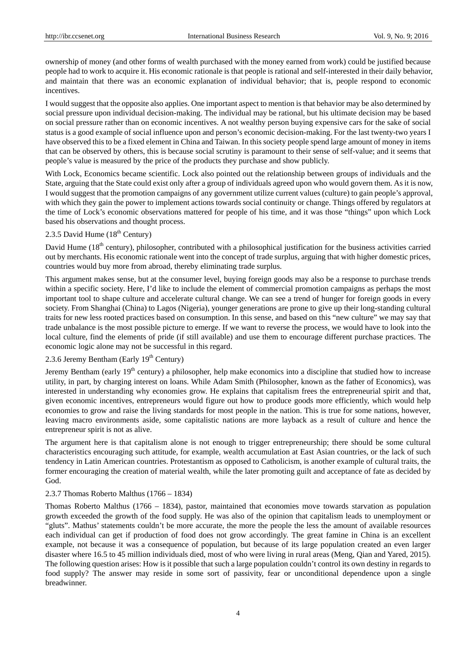ownership of money (and other forms of wealth purchased with the money earned from work) could be justified because people had to work to acquire it. His economic rationale is that people is rational and self-interested in their daily behavior, and maintain that there was an economic explanation of individual behavior; that is, people respond to economic incentives.

I would suggest that the opposite also applies. One important aspect to mention is that behavior may be also determined by social pressure upon individual decision-making. The individual may be rational, but his ultimate decision may be based on social pressure rather than on economic incentives. A not wealthy person buying expensive cars for the sake of social status is a good example of social influence upon and person's economic decision-making. For the last twenty-two years I have observed this to be a fixed element in China and Taiwan. In this society people spend large amount of money in items that can be observed by others, this is because social scrutiny is paramount to their sense of self-value; and it seems that people's value is measured by the price of the products they purchase and show publicly.

With Lock, Economics became scientific. Lock also pointed out the relationship between groups of individuals and the State, arguing that the State could exist only after a group of individuals agreed upon who would govern them. As it is now, I would suggest that the promotion campaigns of any government utilize current values (culture) to gain people's approval, with which they gain the power to implement actions towards social continuity or change. Things offered by regulators at the time of Lock's economic observations mattered for people of his time, and it was those "things" upon which Lock based his observations and thought process.

# 2.3.5 David Hume  $(18<sup>th</sup>$  Century)

David Hume  $(18<sup>th</sup>$  century), philosopher, contributed with a philosophical justification for the business activities carried out by merchants. His economic rationale went into the concept of trade surplus, arguing that with higher domestic prices, countries would buy more from abroad, thereby eliminating trade surplus.

This argument makes sense, but at the consumer level, buying foreign goods may also be a response to purchase trends within a specific society. Here, I'd like to include the element of commercial promotion campaigns as perhaps the most important tool to shape culture and accelerate cultural change. We can see a trend of hunger for foreign goods in every society. From Shanghai (China) to Lagos (Nigeria), younger generations are prone to give up their long-standing cultural traits for new less rooted practices based on consumption. In this sense, and based on this "new culture" we may say that trade unbalance is the most possible picture to emerge. If we want to reverse the process, we would have to look into the local culture, find the elements of pride (if still available) and use them to encourage different purchase practices. The economic logic alone may not be successful in this regard.

# 2.3.6 Jeremy Bentham (Early 19<sup>th</sup> Century)

Jeremy Bentham (early  $19<sup>th</sup>$  century) a philosopher, help make economics into a discipline that studied how to increase utility, in part, by charging interest on loans. While Adam Smith (Philosopher, known as the father of Economics), was interested in understanding why economies grow. He explains that capitalism frees the entrepreneurial spirit and that, given economic incentives, entrepreneurs would figure out how to produce goods more efficiently, which would help economies to grow and raise the living standards for most people in the nation. This is true for some nations, however, leaving macro environments aside, some capitalistic nations are more layback as a result of culture and hence the entrepreneur spirit is not as alive.

The argument here is that capitalism alone is not enough to trigger entrepreneurship; there should be some cultural characteristics encouraging such attitude, for example, wealth accumulation at East Asian countries, or the lack of such tendency in Latin American countries. Protestantism as opposed to Catholicism, is another example of cultural traits, the former encouraging the creation of material wealth, while the later promoting guilt and acceptance of fate as decided by God.

#### 2.3.7 Thomas Roberto Malthus (1766 – 1834)

Thomas Roberto Malthus (1766 – 1834), pastor, maintained that economies move towards starvation as population growth exceeded the growth of the food supply. He was also of the opinion that capitalism leads to unemployment or "gluts". Mathus' statements couldn't be more accurate, the more the people the less the amount of available resources each individual can get if production of food does not grow accordingly. The great famine in China is an excellent example, not because it was a consequence of population, but because of its large population created an even larger disaster where 16.5 to 45 million individuals died, most of who were living in rural areas (Meng, Qian and Yared, 2015). The following question arises: How is it possible that such a large population couldn't control its own destiny in regards to food supply? The answer may reside in some sort of passivity, fear or unconditional dependence upon a single breadwinner.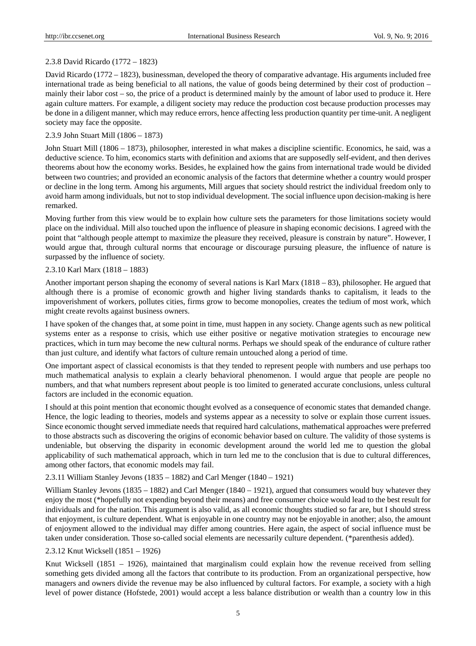### 2.3.8 David Ricardo (1772 – 1823)

David Ricardo (1772 – 1823), businessman, developed the theory of comparative advantage. His arguments included free international trade as being beneficial to all nations, the value of goods being determined by their cost of production – mainly their labor cost – so, the price of a product is determined mainly by the amount of labor used to produce it. Here again culture matters. For example, a diligent society may reduce the production cost because production processes may be done in a diligent manner, which may reduce errors, hence affecting less production quantity per time-unit. A negligent society may face the opposite.

### 2.3.9 John Stuart Mill (1806 – 1873)

John Stuart Mill (1806 – 1873), philosopher, interested in what makes a discipline scientific. Economics, he said, was a deductive science. To him, economics starts with definition and axioms that are supposedly self-evident, and then derives theorems about how the economy works. Besides, he explained how the gains from international trade would be divided between two countries; and provided an economic analysis of the factors that determine whether a country would prosper or decline in the long term. Among his arguments, Mill argues that society should restrict the individual freedom only to avoid harm among individuals, but not to stop individual development. The social influence upon decision-making is here remarked.

Moving further from this view would be to explain how culture sets the parameters for those limitations society would place on the individual. Mill also touched upon the influence of pleasure in shaping economic decisions. I agreed with the point that "although people attempt to maximize the pleasure they received, pleasure is constrain by nature". However, I would argue that, through cultural norms that encourage or discourage pursuing pleasure, the influence of nature is surpassed by the influence of society.

#### 2.3.10 Karl Marx (1818 – 1883)

Another important person shaping the economy of several nations is Karl Marx (1818 – 83), philosopher. He argued that although there is a promise of economic growth and higher living standards thanks to capitalism, it leads to the impoverishment of workers, pollutes cities, firms grow to become monopolies, creates the tedium of most work, which might create revolts against business owners.

I have spoken of the changes that, at some point in time, must happen in any society. Change agents such as new political systems enter as a response to crisis, which use either positive or negative motivation strategies to encourage new practices, which in turn may become the new cultural norms. Perhaps we should speak of the endurance of culture rather than just culture, and identify what factors of culture remain untouched along a period of time.

One important aspect of classical economists is that they tended to represent people with numbers and use perhaps too much mathematical analysis to explain a clearly behavioral phenomenon. I would argue that people are people no numbers, and that what numbers represent about people is too limited to generated accurate conclusions, unless cultural factors are included in the economic equation.

I should at this point mention that economic thought evolved as a consequence of economic states that demanded change. Hence, the logic leading to theories, models and systems appear as a necessity to solve or explain those current issues. Since economic thought served immediate needs that required hard calculations, mathematical approaches were preferred to those abstracts such as discovering the origins of economic behavior based on culture. The validity of those systems is undeniable, but observing the disparity in economic development around the world led me to question the global applicability of such mathematical approach, which in turn led me to the conclusion that is due to cultural differences, among other factors, that economic models may fail.

#### 2.3.11 William Stanley Jevons (1835 – 1882) and Carl Menger (1840 – 1921)

William Stanley Jevons (1835 – 1882) and Carl Menger (1840 – 1921), argued that consumers would buy whatever they enjoy the most (\*hopefully not expending beyond their means) and free consumer choice would lead to the best result for individuals and for the nation. This argument is also valid, as all economic thoughts studied so far are, but I should stress that enjoyment, is culture dependent. What is enjoyable in one country may not be enjoyable in another; also, the amount of enjoyment allowed to the individual may differ among countries. Here again, the aspect of social influence must be taken under consideration. Those so-called social elements are necessarily culture dependent. (\*parenthesis added).

#### 2.3.12 Knut Wicksell (1851 – 1926)

Knut Wicksell (1851 – 1926), maintained that marginalism could explain how the revenue received from selling something gets divided among all the factors that contribute to its production. From an organizational perspective, how managers and owners divide the revenue may be also influenced by cultural factors. For example, a society with a high level of power distance (Hofstede, 2001) would accept a less balance distribution or wealth than a country low in this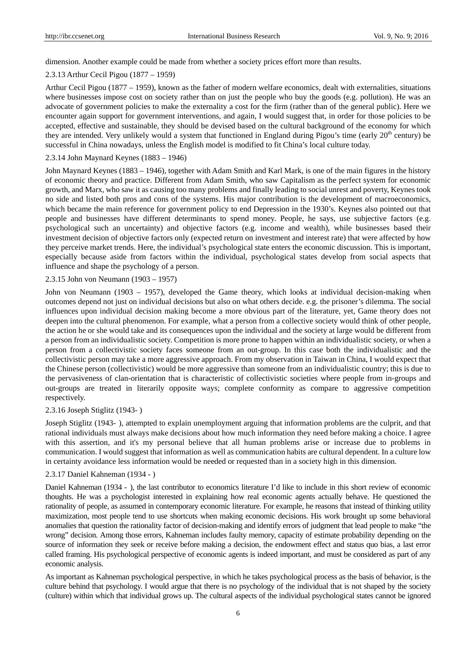dimension. Another example could be made from whether a society prices effort more than results.

### 2.3.13 Arthur Cecil Pigou (1877 – 1959)

Arthur Cecil Pigou (1877 – 1959), known as the father of modern welfare economics, dealt with externalities, situations where businesses impose cost on society rather than on just the people who buy the goods (e.g. pollution). He was an advocate of government policies to make the externality a cost for the firm (rather than of the general public). Here we encounter again support for government interventions, and again, I would suggest that, in order for those policies to be accepted, effective and sustainable, they should be devised based on the cultural background of the economy for which they are intended. Very unlikely would a system that functioned in England during Pigou's time (early  $20<sup>th</sup>$  century) be successful in China nowadays, unless the English model is modified to fit China's local culture today.

#### 2.3.14 John Maynard Keynes (1883 – 1946)

John Maynard Keynes (1883 – 1946), together with Adam Smith and Karl Mark, is one of the main figures in the history of economic theory and practice. Different from Adam Smith, who saw Capitalism as the perfect system for economic growth, and Marx, who saw it as causing too many problems and finally leading to social unrest and poverty, Keynes took no side and listed both pros and cons of the systems. His major contribution is the development of macroeconomics, which became the main reference for government policy to end Depression in the 1930's. Keynes also pointed out that people and businesses have different determinants to spend money. People, he says, use subjective factors (e.g. psychological such an uncertainty) and objective factors (e.g. income and wealth), while businesses based their investment decision of objective factors only (expected return on investment and interest rate) that were affected by how they perceive market trends. Here, the individual's psychological state enters the economic discussion. This is important, especially because aside from factors within the individual, psychological states develop from social aspects that influence and shape the psychology of a person.

#### 2.3.15 John von Neumann (1903 – 1957)

John von Neumann (1903 – 1957), developed the Game theory, which looks at individual decision-making when outcomes depend not just on individual decisions but also on what others decide. e.g. the prisoner's dilemma. The social influences upon individual decision making become a more obvious part of the literature, yet, Game theory does not deepen into the cultural phenomenon. For example, what a person from a collective society would think of other people, the action he or she would take and its consequences upon the individual and the society at large would be different from a person from an individualistic society. Competition is more prone to happen within an individualistic society, or when a person from a collectivistic society faces someone from an out-group. In this case both the individualistic and the collectivistic person may take a more aggressive approach. From my observation in Taiwan in China, I would expect that the Chinese person (collectivistic) would be more aggressive than someone from an individualistic country; this is due to the pervasiveness of clan-orientation that is characteristic of collectivistic societies where people from in-groups and out-groups are treated in literarily opposite ways; complete conformity as compare to aggressive competition respectively.

# 2.3.16 Joseph Stiglitz (1943- )

Joseph Stiglitz (1943- ), attempted to explain unemployment arguing that information problems are the culprit, and that rational individuals must always make decisions about how much information they need before making a choice. I agree with this assertion, and it's my personal believe that all human problems arise or increase due to problems in communication. I would suggest that information as well as communication habits are cultural dependent. In a culture low in certainty avoidance less information would be needed or requested than in a society high in this dimension.

#### 2.3.17 Daniel Kahneman (1934 - )

Daniel Kahneman (1934 - ), the last contributor to economics literature I'd like to include in this short review of economic thoughts. He was a psychologist interested in explaining how real economic agents actually behave. He questioned the rationality of people, as assumed in contemporary economic literature. For example, he reasons that instead of thinking utility maximization, most people tend to use shortcuts when making economic decisions. His work brought up some behavioral anomalies that question the rationality factor of decision-making and identify errors of judgment that lead people to make "the wrong" decision. Among those errors, Kahneman includes faulty memory, capacity of estimate probability depending on the source of information they seek or receive before making a decision, the endowment effect and status quo bias, a last error called framing. His psychological perspective of economic agents is indeed important, and must be considered as part of any economic analysis.

As important as Kahneman psychological perspective, in which he takes psychological process as the basis of behavior, is the culture behind that psychology. I would argue that there is no psychology of the individual that is not shaped by the society (culture) within which that individual grows up. The cultural aspects of the individual psychological states cannot be ignored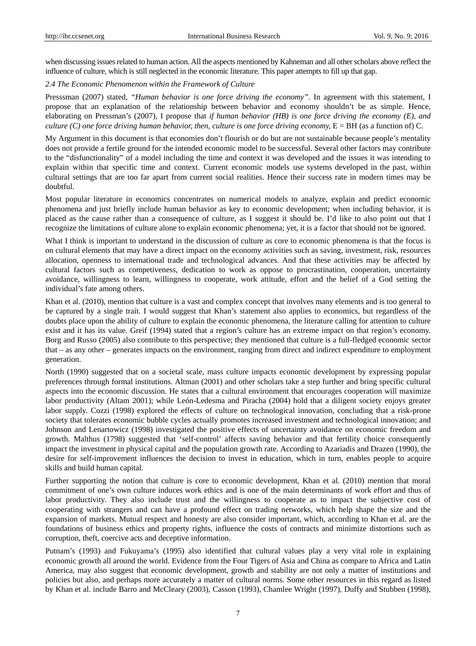when discussing issues related to human action. All the aspects mentioned by Kahneman and all other scholars above reflect the influence of culture, which is still neglected in the economic literature. This paper attempts to fill up that gap.

#### *2.4 The Economic Phenomenon within the Framework of Culture*

Presssman (2007) stated, *"Human behavior is one force driving the economy"*. In agreement with this statement, I propose that an explanation of the relationship between behavior and economy shouldn't be as simple. Hence, elaborating on Pressman's (2007), I propose that *if human behavior (HB) is one force driving the economy (E), and culture (C) one force driving human behavior, then, culture is one force driving economy,*  $E = BH$  (as a function of) C.

My Argument in this document is that economies don't flourish or do but are not sustainable because people's mentality does not provide a fertile ground for the intended economic model to be successful. Several other factors may contribute to the "disfunctionality" of a model including the time and context it was developed and the issues it was intending to explain within that specific time and context. Current economic models use systems developed in the past, within cultural settings that are too far apart from current social realities. Hence their success rate in modern times may be doubtful.

Most popular literature in economics concentrates on numerical models to analyze, explain and predict economic phenomena and just briefly include human behavior as key to economic development; when including behavior, it is placed as the cause rather than a consequence of culture, as I suggest it should be. I'd like to also point out that I recognize the limitations of culture alone to explain economic phenomena; yet, it is a factor that should not be ignored.

What I think is important to understand in the discussion of culture as core to economic phenomena is that the focus is on cultural elements that may have a direct impact on the economy activities such as saving, investment, risk, resources allocation, openness to international trade and technological advances. And that these activities may be affected by cultural factors such as competiveness, dedication to work as oppose to procrastination, cooperation, uncertainty avoidance, willingness to learn, willingness to cooperate, work attitude, effort and the belief of a God setting the individual's fate among others.

Khan et al. (2010), mention that culture is a vast and complex concept that involves many elements and is too general to be captured by a single trait. I would suggest that Khan's statement also applies to economics, but regardless of the doubts place upon the ability of culture to explain the economic phenomena, the literature calling for attention to culture exist and it has its value. Greif (1994) stated that a region's culture has an extreme impact on that region's economy. Borg and Russo (2005) also contribute to this perspective; they mentioned that culture is a full-fledged economic sector that – as any other – generates impacts on the environment, ranging from direct and indirect expenditure to employment generation.

North (1990) suggested that on a societal scale, mass culture impacts economic development by expressing popular preferences through formal institutions. Altman (2001) and other scholars take a step further and bring specific cultural aspects into the economic discussion. He states that a cultural environment that encourages cooperation will maximize labor productivity (Altam 2001); while León-Ledesma and Piracha (2004) hold that a diligent society enjoys greater labor supply. Cozzi (1998) explored the effects of culture on technological innovation, concluding that a risk-prone society that tolerates economic bubble cycles actually promotes increased investment and technological innovation; and Johnson and Lenartowicz (1998) investigated the positive effects of uncertainty avoidance on economic freedom and growth. Malthus (1798) suggested that 'self-control' affects saving behavior and that fertility choice consequently impact the investment in physical capital and the population growth rate. According to Azariadis and Drazen (1990), the desire for self-improvement influences the decision to invest in education, which in turn, enables people to acquire skills and build human capital.

Further supporting the notion that culture is core to economic development, Khan et al. (2010) mention that moral commitment of one's own culture induces work ethics and is one of the main determinants of work effort and thus of labor productivity. They also include trust and the willingness to cooperate as to impact the subjective cost of cooperating with strangers and can have a profound effect on trading networks, which help shape the size and the expansion of markets. Mutual respect and honesty are also consider important, which, according to Khan et al. are the foundations of business ethics and property rights, influence the costs of contracts and minimize distortions such as corruption, theft, coercive acts and deceptive information.

Putnam's (1993) and Fukuyama's (1995) also identified that cultural values play a very vital role in explaining economic growth all around the world. Evidence from the Four Tigers of Asia and China as compare to Africa and Latin America, may also suggest that economic development, growth and stability are not only a matter of institutions and policies but also, and perhaps more accurately a matter of cultural norms. Some other resources in this regard as listed by Khan et al. include Barro and McCleary (2003), Casson (1993), Chamlee Wright (1997), Duffy and Stubben (1998),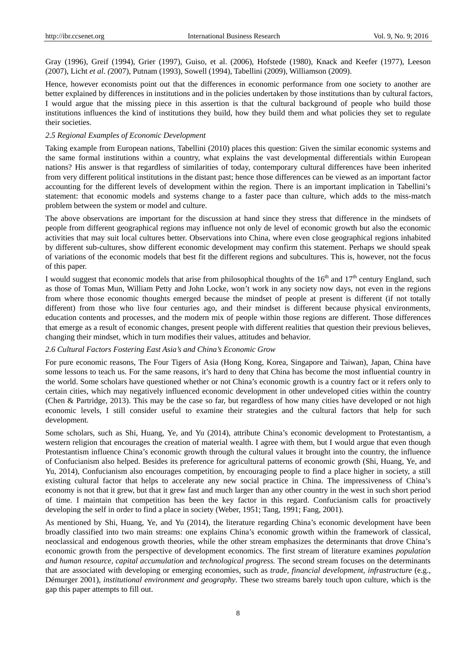Gray (1996), Greif (1994), Grier (1997), Guiso, et al. (2006), Hofstede (1980), Knack and Keefer (1977), Leeson (2007), Licht *et al. (*2007), Putnam (1993), Sowell (1994), Tabellini (2009), Williamson (2009).

Hence, however economists point out that the differences in economic performance from one society to another are better explained by differences in institutions and in the policies undertaken by those institutions than by cultural factors, I would argue that the missing piece in this assertion is that the cultural background of people who build those institutions influences the kind of institutions they build, how they build them and what policies they set to regulate their societies.

#### *2.5 Regional Examples of Economic Development*

Taking example from European nations, Tabellini (2010) places this question: Given the similar economic systems and the same formal institutions within a country, what explains the vast developmental differentials within European nations? His answer is that regardless of similarities of today, contemporary cultural differences have been inherited from very different political institutions in the distant past; hence those differences can be viewed as an important factor accounting for the different levels of development within the region. There is an important implication in Tabellini's statement: that economic models and systems change to a faster pace than culture, which adds to the miss-match problem between the system or model and culture.

The above observations are important for the discussion at hand since they stress that difference in the mindsets of people from different geographical regions may influence not only de level of economic growth but also the economic activities that may suit local cultures better. Observations into China, where even close geographical regions inhabited by different sub-cultures, show different economic development may confirm this statement. Perhaps we should speak of variations of the economic models that best fit the different regions and subcultures. This is, however, not the focus of this paper.

I would suggest that economic models that arise from philosophical thoughts of the  $16<sup>th</sup>$  and  $17<sup>th</sup>$  century England, such as those of Tomas Mun, William Petty and John Locke, won't work in any society now days, not even in the regions from where those economic thoughts emerged because the mindset of people at present is different (if not totally different) from those who live four centuries ago, and their mindset is different because physical environments, education contents and processes, and the modern mix of people within those regions are different. Those differences that emerge as a result of economic changes, present people with different realities that question their previous believes, changing their mindset, which in turn modifies their values, attitudes and behavior.

#### *2.6 Cultural Factors Fostering East Asia's and China's Economic Grow*

For pure economic reasons, The Four Tigers of Asia (Hong Kong, Korea, Singapore and Taiwan), Japan, China have some lessons to teach us. For the same reasons, it's hard to deny that China has become the most influential country in the world. Some scholars have questioned whether or not China's economic growth is a country fact or it refers only to certain cities, which may negatively influenced economic development in other undeveloped cities within the country (Chen & Partridge, 2013). This may be the case so far, but regardless of how many cities have developed or not high economic levels, I still consider useful to examine their strategies and the cultural factors that help for such development.

Some scholars, such as Shi, Huang, Ye, and Yu (2014), attribute China's economic development to Protestantism, a western religion that encourages the creation of material wealth. I agree with them, but I would argue that even though Protestantism influence China's economic growth through the cultural values it brought into the country, the influence of Confucianism also helped. Besides its preference for agricultural patterns of economic growth (Shi, Huang, Ye, and Yu, 2014), Confucianism also encourages competition, by encouraging people to find a place higher in society, a still existing cultural factor that helps to accelerate any new social practice in China. The impressiveness of China's economy is not that it grew, but that it grew fast and much larger than any other country in the west in such short period of time. I maintain that competition has been the key factor in this regard. Confucianism calls for proactively developing the self in order to find a place in society (Weber, 1951; Tang, 1991; Fang, 2001).

As mentioned by Shi, Huang, Ye, and Yu (2014), the literature regarding China's economic development have been broadly classified into two main streams: one explains China's economic growth within the framework of classical, neoclassical and endogenous growth theories, while the other stream emphasizes the determinants that drove China's economic growth from the perspective of development economics. The first stream of literature examines *population and human resource, capital accumulation* and *technological progress.* The second stream focuses on the determinants that are associated with developing or emerging economies, such as *trade, financial development*, *infrastructure* (e.g., Démurger 2001), *institutional environment and geography*. These two streams barely touch upon culture, which is the gap this paper attempts to fill out.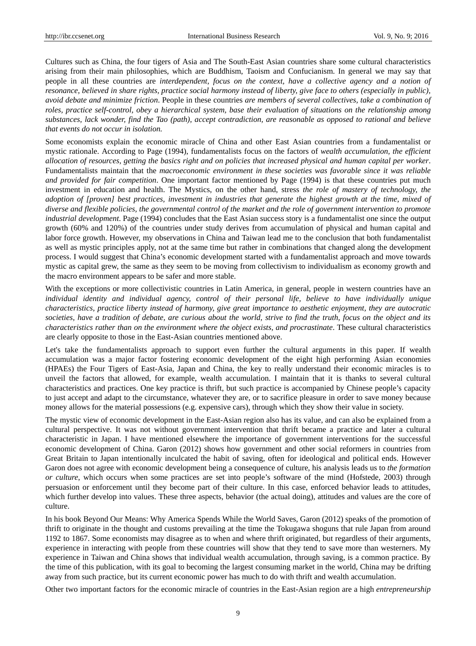Cultures such as China, the four tigers of Asia and The South-East Asian countries share some cultural characteristics arising from their main philosophies, which are Buddhism, Taoism and Confucianism. In general we may say that people in all these countries are *interdependent, focus on the context, have a collective agency and a notion of resonance, believed in share rights, practice social harmony instead of liberty, give face to others (especially in public), avoid debate and minimize friction*. People in these countries *are members of several collectives, take a combination of roles, practice self-control, obey a hierarchical system, base their evaluation of situations on the relationship among substances, lack wonder, find the Tao (path), accept contradiction, are reasonable as opposed to rational and believe that events do not occur in isolation.* 

Some economists explain the economic miracle of China and other East Asian countries from a fundamentalist or mystic rationale. According to Page (1994), fundamentalists focus on the factors of *wealth accumulation, the efficient allocation of resources, getting the basics right and on policies that increased physical and human capital per worker*. Fundamentalists maintain that the *macroeconomic environment in these societies was favorable since it was reliable and provided for fair competition*. One important factor mentioned by Page (1994) is that these countries put much investment in education and health. The Mystics, on the other hand, stress *the role of mastery of technology, the adoption of [proven] best practices, investment in industries that generate the highest growth at the time, mixed of diverse and flexible policies, the governmental control of the market and the role of government intervention to promote industrial development*. Page (1994) concludes that the East Asian success story is a fundamentalist one since the output growth (60% and 120%) of the countries under study derives from accumulation of physical and human capital and labor force growth. However, my observations in China and Taiwan lead me to the conclusion that both fundamentalist as well as mystic principles apply, not at the same time but rather in combinations that changed along the development process. I would suggest that China's economic development started with a fundamentalist approach and move towards mystic as capital grew, the same as they seem to be moving from collectivism to individualism as economy growth and the macro environment appears to be safer and more stable.

With the exceptions or more collectivistic countries in Latin America, in general, people in western countries have an *individual identity and individual agency, control of their personal life, believe to have individually unique characteristics, practice liberty instead of harmony, give great importance to aesthetic enjoyment, they are autocratic societies, have a tradition of debate, are curious about the world, strive to find the truth, focus on the object and its characteristics rather than on the environment where the object exists, and procrastinate*. These cultural characteristics are clearly opposite to those in the East-Asian countries mentioned above.

Let's take the fundamentalists approach to support even further the cultural arguments in this paper. If wealth accumulation was a major factor fostering economic development of the eight high performing Asian economies (HPAEs) the Four Tigers of East-Asia, Japan and China, the key to really understand their economic miracles is to unveil the factors that allowed, for example, wealth accumulation. I maintain that it is thanks to several cultural characteristics and practices. One key practice is thrift, but such practice is accompanied by Chinese people's capacity to just accept and adapt to the circumstance, whatever they are, or to sacrifice pleasure in order to save money because money allows for the material possessions (e.g. expensive cars), through which they show their value in society.

The mystic view of economic development in the East-Asian region also has its value, and can also be explained from a cultural perspective. It was not without government intervention that thrift became a practice and later a cultural characteristic in Japan. I have mentioned elsewhere the importance of government interventions for the successful economic development of China. Garon (2012) shows how government and other social reformers in countries from Great Britain to Japan intentionally inculcated the habit of saving, often for ideological and political ends. However Garon does not agree with economic development being a consequence of culture, his analysis leads us to *the formation or culture*, which occurs when some practices are set into people's software of the mind (Hofstede, 2003) through persuasion or enforcement until they become part of their culture. In this case, enforced behavior leads to attitudes, which further develop into values. These three aspects, behavior (the actual doing), attitudes and values are the core of culture.

In his book Beyond Our Means: Why America Spends While the World Saves, Garon (2012) speaks of the promotion of thrift to originate in the thought and customs prevailing at the time the Tokugawa shoguns that rule Japan from around 1192 to 1867. Some economists may disagree as to when and where thrift originated, but regardless of their arguments, experience in interacting with people from these countries will show that they tend to save more than westerners. My experience in Taiwan and China shows that individual wealth accumulation, through saving, is a common practice. By the time of this publication, with its goal to becoming the largest consuming market in the world, China may be drifting away from such practice, but its current economic power has much to do with thrift and wealth accumulation.

Other two important factors for the economic miracle of countries in the East-Asian region are a high *entrepreneurship* 

9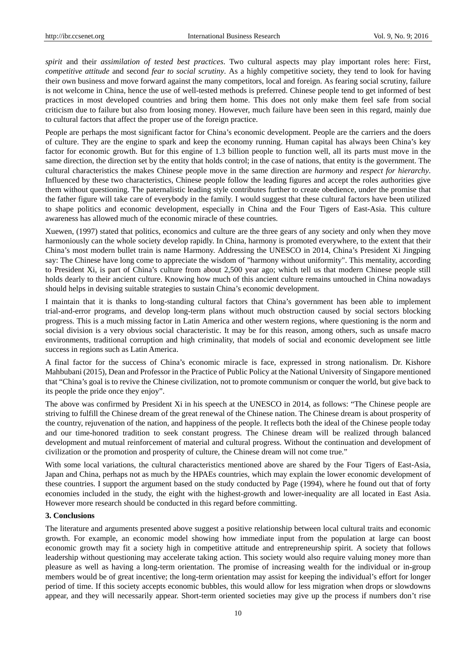*spirit* and their *assimilation of tested best practices*. Two cultural aspects may play important roles here: First, *competitive attitude* and second *fear to social scrutiny*. As a highly competitive society, they tend to look for having their own business and move forward against the many competitors, local and foreign. As fearing social scrutiny, failure is not welcome in China, hence the use of well-tested methods is preferred. Chinese people tend to get informed of best practices in most developed countries and bring them home. This does not only make them feel safe from social criticism due to failure but also from loosing money. However, much failure have been seen in this regard, mainly due to cultural factors that affect the proper use of the foreign practice.

People are perhaps the most significant factor for China's economic development. People are the carriers and the doers of culture. They are the engine to spark and keep the economy running. Human capital has always been China's key factor for economic growth. But for this engine of 1.3 billion people to function well, all its parts must move in the same direction, the direction set by the entity that holds control; in the case of nations, that entity is the government. The cultural characteristics the makes Chinese people move in the same direction are *harmony* and *respect for hierarchy*. Influenced by these two characteristics, Chinese people follow the leading figures and accept the roles authorities give them without questioning. The paternalistic leading style contributes further to create obedience, under the promise that the father figure will take care of everybody in the family. I would suggest that these cultural factors have been utilized to shape politics and economic development, especially in China and the Four Tigers of East-Asia. This culture awareness has allowed much of the economic miracle of these countries.

Xuewen, (1997) stated that politics, economics and culture are the three gears of any society and only when they move harmoniously can the whole society develop rapidly. In China, harmony is promoted everywhere, to the extent that their China's most modern bullet train is name Harmony. Addressing the UNESCO in 2014, China's President Xi Jingping say: The Chinese have long come to appreciate the wisdom of "harmony without uniformity". This mentality, according to President Xi, is part of China's culture from about 2,500 year ago; which tell us that modern Chinese people still holds dearly to their ancient culture. Knowing how much of this ancient culture remains untouched in China nowadays should helps in devising suitable strategies to sustain China's economic development.

I maintain that it is thanks to long-standing cultural factors that China's government has been able to implement trial-and-error programs, and develop long-term plans without much obstruction caused by social sectors blocking progress. This is a much missing factor in Latin America and other western regions, where questioning is the norm and social division is a very obvious social characteristic. It may be for this reason, among others, such as unsafe macro environments, traditional corruption and high criminality, that models of social and economic development see little success in regions such as Latin America.

A final factor for the success of China's economic miracle is face, expressed in strong nationalism. Dr. Kishore Mahbubani (2015), Dean and Professor in the Practice of Public Policy at the National University of Singapore mentioned that "China's goal is to revive the Chinese civilization, not to promote communism or conquer the world, but give back to its people the pride once they enjoy".

The above was confirmed by President Xi in his speech at the UNESCO in 2014, as follows: "The Chinese people are striving to fulfill the Chinese dream of the great renewal of the Chinese nation. The Chinese dream is about prosperity of the country, rejuvenation of the nation, and happiness of the people. It reflects both the ideal of the Chinese people today and our time-honored tradition to seek constant progress. The Chinese dream will be realized through balanced development and mutual reinforcement of material and cultural progress. Without the continuation and development of civilization or the promotion and prosperity of culture, the Chinese dream will not come true."

With some local variations, the cultural characteristics mentioned above are shared by the Four Tigers of East-Asia, Japan and China, perhaps not as much by the HPAEs countries, which may explain the lower economic development of these countries. I support the argument based on the study conducted by Page (1994), where he found out that of forty economies included in the study, the eight with the highest-growth and lower-inequality are all located in East Asia. However more research should be conducted in this regard before committing.

#### **3. Conclusions**

The literature and arguments presented above suggest a positive relationship between local cultural traits and economic growth. For example, an economic model showing how immediate input from the population at large can boost economic growth may fit a society high in competitive attitude and entrepreneurship spirit. A society that follows leadership without questioning may accelerate taking action. This society would also require valuing money more than pleasure as well as having a long-term orientation. The promise of increasing wealth for the individual or in-group members would be of great incentive; the long-term orientation may assist for keeping the individual's effort for longer period of time. If this society accepts economic bubbles, this would allow for less migration when drops or slowdowns appear, and they will necessarily appear. Short-term oriented societies may give up the process if numbers don't rise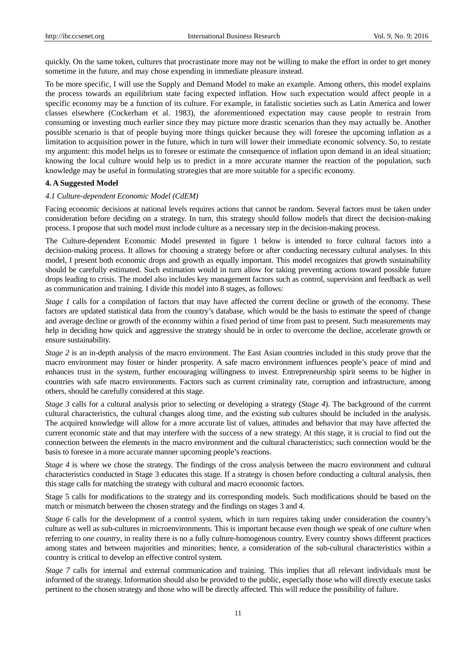quickly. On the same token, cultures that procrastinate more may not be willing to make the effort in order to get money sometime in the future, and may chose expending in immediate pleasure instead.

To be more specific, I will use the Supply and Demand Model to make an example. Among others, this model explains the process towards an equilibrium state facing expected inflation. How such expectation would affect people in a specific economy may be a function of its culture. For example, in fatalistic societies such as Latin America and lower classes elsewhere (Cockerham et al. 1983), the aforementioned expectation may cause people to restrain from consuming or investing much earlier since they may picture more drastic scenarios than they may actually be. Another possible scenario is that of people buying more things quicker because they will foresee the upcoming inflation as a limitation to acquisition power in the future, which in turn will lower their immediate economic solvency. So, to restate my argument: this model helps us to foresee or estimate the consequence of inflation upon demand in an ideal situation; knowing the local culture would help us to predict in a more accurate manner the reaction of the population, such knowledge may be useful in formulating strategies that are more suitable for a specific economy.

### **4. A Suggested Model**

#### *4.1 Culture-dependent Economic Model (CdEM)*

Facing economic decisions at national levels requires actions that cannot be random. Several factors must be taken under consideration before deciding on a strategy. In turn, this strategy should follow models that direct the decision-making process. I propose that such model must include culture as a necessary step in the decision-making process.

The Culture-dependent Economic Model presented in figure 1 below is intended to force cultural factors into a decision-making process. It allows for choosing a strategy before or after conducting necessary cultural analyses. In this model, I present both economic drops and growth as equally important. This model recognizes that growth sustainability should be carefully estimated. Such estimation would in turn allow for taking preventing actions toward possible future drops leading to crisis. The model also includes key management factors such as control, supervision and feedback as well as communication and training. I divide this model into 8 stages, as follows:

*Stage 1* calls for a compilation of factors that may have affected the current decline or growth of the economy. These factors are updated statistical data from the country's database, which would be the basis to estimate the speed of change and average decline or growth of the economy within a fixed period of time from past to present. Such measurements may help in deciding how quick and aggressive the strategy should be in order to overcome the decline, accelerate growth or ensure sustainability.

*Stage 2* is an in-depth analysis of the macro environment. The East Asian countries included in this study prove that the macro environment may foster or hinder prosperity. A safe macro environment influences people's peace of mind and enhances trust in the system, further encouraging willingness to invest. Entrepreneurship spirit seems to be higher in countries with safe macro environments. Factors such as current criminality rate, corruption and infrastructure, among others, should be carefully considered at this stage.

*Stage 3* calls for a cultural analysis prior to selecting or developing a strategy (*Stage 4*). The background of the current cultural characteristics, the cultural changes along time, and the existing sub cultures should be included in the analysis. The acquired knowledge will allow for a more accurate list of values, attitudes and behavior that may have affected the current economic state and that may interfere with the success of a new strategy. At this stage, it is crucial to find out the connection between the elements in the macro environment and the cultural characteristics; such connection would be the basis to foresee in a more accurate manner upcoming people's reactions.

*Stage 4* is where we chose the strategy. The findings of the cross analysis between the macro environment and cultural characteristics conducted in Stage 3 educates this stage. If a strategy is chosen before conducting a cultural analysis, then this stage calls for matching the strategy with cultural and macro economic factors.

Stage 5 calls for modifications to the strategy and its corresponding models. Such modifications should be based on the match or mismatch between the chosen strategy and the findings on stages 3 and 4.

*Stage 6* calls for the development of a control system, which in turn requires taking under consideration the country's culture as well as sub-cultures in microenvironments. This is important because even though we speak of *one culture* when referring to *one country*, in reality there is no a fully culture-homogenous country. Every country shows different practices among states and between majorities and minorities; hence, a consideration of the sub-cultural characteristics within a country is critical to develop an effective control system.

*Stage 7* calls for internal and external communication and training. This implies that all relevant individuals must be informed of the strategy. Information should also be provided to the public, especially those who will directly execute tasks pertinent to the chosen strategy and those who will be directly affected. This will reduce the possibility of failure.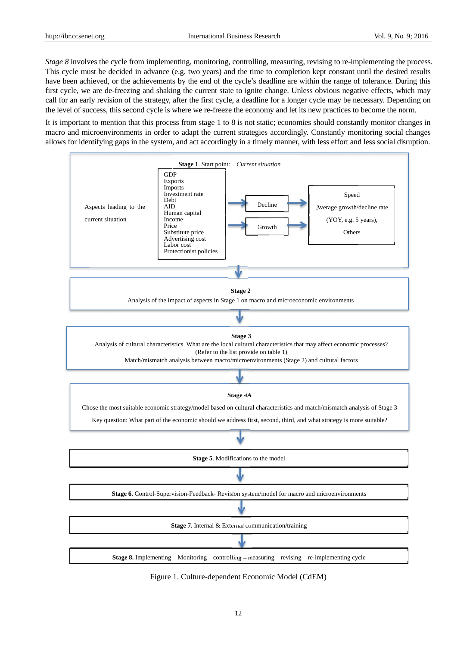Stage 8 involves the cycle from implementing, monitoring, controlling, measuring, revising to re-implementing the process. This cycle must be decided in advance (e.g. two years) and the time to completion kept constant until the desired results have been achieved, or the achievements by the end of the cycle's deadline are within the range of tolerance. During this first cycle, we are de-freezing and shaking the current state to ignite change. Unless obvious negative effects, which may call for an early revision of the strategy, after the first cycle, a deadline for a longer cycle may be necessary. Depending on the level of success, this second cycle is where we re-freeze the economy and let its new practices to become the norm.

It is important to mention that this process from stage 1 to 8 is not static; economies should constantly monitor changes in macro and microenvironments in order to adapt the current strategies accordingly. Constantly monitoring social changes allows for identifying gaps in the system, and act accordingly in a timely manner, with less effort and less social disruption.



Figure 1. Culture-dependent Economic Model (CdEM)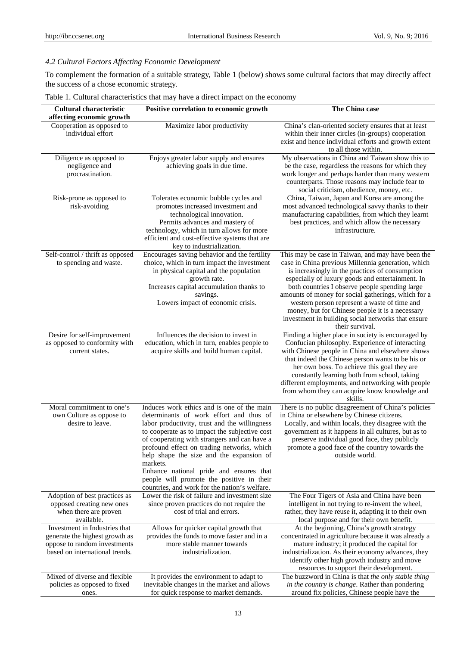# *4.2 Cultural Factors Affecting Economic Development*

To complement the formation of a suitable strategy, Table 1 (below) shows some cultural factors that may directly affect the success of a chose economic strategy.

|  |  |  | Table 1. Cultural characteristics that may have a direct impact on the economy |
|--|--|--|--------------------------------------------------------------------------------|
|  |  |  |                                                                                |

| <b>Cultural characteristic</b><br>affecting economic growth                                                                       | Positive correlation to economic growth                                                                                                                                                                                                                                                                                                                                                                                                                                                | The China case                                                                                                                                                                                                                                                                                                                                                                                                                                                                                      |
|-----------------------------------------------------------------------------------------------------------------------------------|----------------------------------------------------------------------------------------------------------------------------------------------------------------------------------------------------------------------------------------------------------------------------------------------------------------------------------------------------------------------------------------------------------------------------------------------------------------------------------------|-----------------------------------------------------------------------------------------------------------------------------------------------------------------------------------------------------------------------------------------------------------------------------------------------------------------------------------------------------------------------------------------------------------------------------------------------------------------------------------------------------|
| Cooperation as opposed to<br>individual effort                                                                                    | Maximize labor productivity                                                                                                                                                                                                                                                                                                                                                                                                                                                            | China's clan-oriented society ensures that at least<br>within their inner circles (in-groups) cooperation<br>exist and hence individual efforts and growth extent<br>to all those within.                                                                                                                                                                                                                                                                                                           |
| Diligence as opposed to<br>negligence and<br>procrastination.                                                                     | Enjoys greater labor supply and ensures<br>achieving goals in due time.                                                                                                                                                                                                                                                                                                                                                                                                                | My observations in China and Taiwan show this to<br>be the case, regardless the reasons for which they<br>work longer and perhaps harder than many western<br>counterparts. Those reasons may include fear to<br>social criticism, obedience, money, etc.                                                                                                                                                                                                                                           |
| Risk-prone as opposed to<br>risk-avoiding                                                                                         | Tolerates economic bubble cycles and<br>promotes increased investment and<br>technological innovation.<br>Permits advances and mastery of<br>technology, which in turn allows for more<br>efficient and cost-effective systems that are<br>key to industrialization.                                                                                                                                                                                                                   | China, Taiwan, Japan and Korea are among the<br>most advanced technological savvy thanks to their<br>manufacturing capabilities, from which they learnt<br>best practices, and which allow the necessary<br>infrastructure.                                                                                                                                                                                                                                                                         |
| Self-control / thrift as opposed<br>to spending and waste.                                                                        | Encourages saving behavior and the fertility<br>choice, which in turn impact the investment<br>in physical capital and the population<br>growth rate.<br>Increases capital accumulation thanks to<br>savings.<br>Lowers impact of economic crisis.                                                                                                                                                                                                                                     | This may be case in Taiwan, and may have been the<br>case in China previous Millennia generation, which<br>is increasingly in the practices of consumption<br>especially of luxury goods and entertainment. In<br>both countries I observe people spending large<br>amounts of money for social gatherings, which for a<br>western person represent a waste of time and<br>money, but for Chinese people it is a necessary<br>investment in building social networks that ensure<br>their survival. |
| Desire for self-improvement<br>as opposed to conformity with<br>current states.                                                   | Influences the decision to invest in<br>education, which in turn, enables people to<br>acquire skills and build human capital.                                                                                                                                                                                                                                                                                                                                                         | Finding a higher place in society is encouraged by<br>Confucian philosophy. Experience of interacting<br>with Chinese people in China and elsewhere shows<br>that indeed the Chinese person wants to be his or<br>her own boss. To achieve this goal they are<br>constantly learning both from school, taking<br>different employments, and networking with people<br>from whom they can acquire know knowledge and<br>skills.                                                                      |
| Moral commitment to one's<br>own Culture as oppose to<br>desire to leave.                                                         | Induces work ethics and is one of the main<br>determinants of work effort and thus of<br>labor productivity, trust and the willingness<br>to cooperate as to impact the subjective cost<br>of cooperating with strangers and can have a<br>profound effect on trading networks, which<br>help shape the size and the expansion of<br>markets.<br>Enhance national pride and ensures that<br>people will promote the positive in their<br>countries, and work for the nation's welfare. | There is no public disagreement of China's policies<br>in China or elsewhere by Chinese citizens.<br>Locally, and within locals, they disagree with the<br>government as it happens in all cultures, but as to<br>preserve individual good face, they publicly<br>promote a good face of the country towards the<br>outside world.                                                                                                                                                                  |
| Adoption of best practices as<br>opposed creating new ones<br>when there are proven<br>available.                                 | Lower the risk of failure and investment size<br>since proven practices do not require the<br>cost of trial and errors.                                                                                                                                                                                                                                                                                                                                                                | The Four Tigers of Asia and China have been<br>intelligent in not trying to re-invent the wheel,<br>rather, they have reuse it, adapting it to their own<br>local purpose and for their own benefit.                                                                                                                                                                                                                                                                                                |
| Investment in Industries that<br>generate the highest growth as<br>oppose to random investments<br>based on international trends. | Allows for quicker capital growth that<br>provides the funds to move faster and in a<br>more stable manner towards<br>industrialization.                                                                                                                                                                                                                                                                                                                                               | At the beginning, China's growth strategy<br>concentrated in agriculture because it was already a<br>mature industry; it produced the capital for<br>industrialization. As their economy advances, they<br>identify other high growth industry and move<br>resources to support their development.                                                                                                                                                                                                  |
| Mixed of diverse and flexible<br>policies as opposed to fixed<br>ones.                                                            | It provides the environment to adapt to<br>inevitable changes in the market and allows<br>for quick response to market demands.                                                                                                                                                                                                                                                                                                                                                        | The buzzword in China is that the only stable thing<br>in the country is change. Rather than pondering<br>around fix policies, Chinese people have the                                                                                                                                                                                                                                                                                                                                              |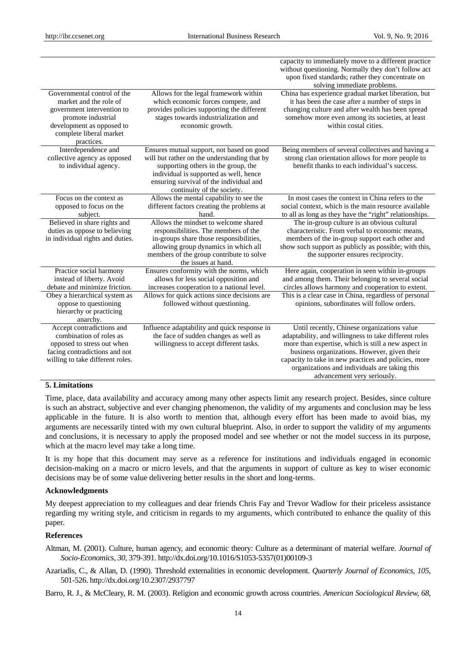|                                                                   |                                                                                           | capacity to immediately move to a different practice<br>without questioning. Normally they don't follow act<br>upon fixed standards; rather they concentrate on<br>solving immediate problems. |
|-------------------------------------------------------------------|-------------------------------------------------------------------------------------------|------------------------------------------------------------------------------------------------------------------------------------------------------------------------------------------------|
| Governmental control of the                                       | Allows for the legal framework within                                                     | China has experience gradual market liberation, but                                                                                                                                            |
| market and the role of<br>government intervention to              | which economic forces compete, and<br>provides policies supporting the different          | it has been the case after a number of steps in<br>changing culture and after wealth has been spread                                                                                           |
| promote industrial                                                | stages towards industrialization and                                                      | somehow more even among its societies, at least                                                                                                                                                |
| development as opposed to                                         | economic growth.                                                                          | within costal cities.                                                                                                                                                                          |
| complete liberal market                                           |                                                                                           |                                                                                                                                                                                                |
| practices.                                                        |                                                                                           |                                                                                                                                                                                                |
| Interdependence and<br>collective agency as opposed               | Ensures mutual support, not based on good<br>will but rather on the understanding that by | Being members of several collectives and having a<br>strong clan orientation allows for more people to                                                                                         |
| to individual agency.                                             | supporting others in the group, the                                                       | benefit thanks to each individual's success.                                                                                                                                                   |
|                                                                   | individual is supported as well, hence                                                    |                                                                                                                                                                                                |
|                                                                   | ensuring survival of the individual and                                                   |                                                                                                                                                                                                |
| Focus on the context as                                           | continuity of the society.<br>Allows the mental capability to see the                     | In most cases the context in China refers to the                                                                                                                                               |
| opposed to focus on the                                           | different factors creating the problems at                                                | social context, which is the main resource available                                                                                                                                           |
| subject.                                                          | hand.                                                                                     | to all as long as they have the "right" relationships.                                                                                                                                         |
| Believed in share rights and                                      | Allows the mindset to welcome shared                                                      | The in-group culture is an obvious cultural                                                                                                                                                    |
| duties as oppose to believing<br>in individual rights and duties. | responsibilities. The members of the<br>in-groups share those responsibilities,           | characteristic. From verbal to economic means,<br>members of the in-group support each other and                                                                                               |
|                                                                   | allowing group dynamics in which all                                                      | show such support as publicly as possible; with this,                                                                                                                                          |
|                                                                   | members of the group contribute to solve                                                  | the supporter ensures reciprocity.                                                                                                                                                             |
|                                                                   | the issues at hand.                                                                       |                                                                                                                                                                                                |
| Practice social harmony                                           | Ensures conformity with the norms, which                                                  | Here again, cooperation in seen within in-groups                                                                                                                                               |
| instead of liberty. Avoid<br>debate and minimize friction.        | allows for less social opposition and<br>increases cooperation to a national level.       | and among them. Their belonging to several social<br>circles allows harmony and cooperation to extent.                                                                                         |
| Obey a hierarchical system as                                     | Allows for quick actions since decisions are                                              | This is a clear case in China, regardless of personal                                                                                                                                          |
| oppose to questioning                                             | followed without questioning.                                                             | opinions, subordinates will follow orders.                                                                                                                                                     |
| hierarchy or practicing                                           |                                                                                           |                                                                                                                                                                                                |
| anarchy.<br>Accept contradictions and                             | Influence adaptability and quick response in                                              | Until recently, Chinese organizations value                                                                                                                                                    |
| combination of roles as                                           | the face of sudden changes as well as                                                     | adaptability, and willingness to take different roles                                                                                                                                          |
| opposed to stress out when                                        | willingness to accept different tasks.                                                    | more than expertise, which is still a new aspect in                                                                                                                                            |
| facing contradictions and not                                     |                                                                                           | business organizations. However, given their                                                                                                                                                   |
| willing to take different roles.                                  |                                                                                           | capacity to take in new practices and policies, more<br>organizations and individuals are taking this                                                                                          |
|                                                                   |                                                                                           | advancement very seriously.                                                                                                                                                                    |

# **5. Limitations**

Time, place, data availability and accuracy among many other aspects limit any research project. Besides, since culture is such an abstract, subjective and ever changing phenomenon, the validity of my arguments and conclusion may be less applicable in the future. It is also worth to mention that, although every effort has been made to avoid bias, my arguments are necessarily tinted with my own cultural blueprint. Also, in order to support the validity of my arguments and conclusions, it is necessary to apply the proposed model and see whether or not the model success in its purpose, which at the macro level may take a long time.

It is my hope that this document may serve as a reference for institutions and individuals engaged in economic decision-making on a macro or micro levels, and that the arguments in support of culture as key to wiser economic decisions may be of some value delivering better results in the short and long-terms.

# **Acknowledgments**

My deepest appreciation to my colleagues and dear friends Chris Fay and Trevor Wadlow for their priceless assistance regarding my writing style, and criticism in regards to my arguments, which contributed to enhance the quality of this paper.

#### **References**

- Altman, M. (2001). Culture, human agency, and economic theory: Culture as a determinant of material welfare. *Journal of Socio-Economics, 30*, 379-391. http://dx.doi.org/10.1016/S1053-5357(01)00109-3
- Azariadis, C., & Allan, D. (1990). Threshold externalities in economic development. *Quarterly Journal of Economics, 105*, 501-526. http://dx.doi.org/10.2307/2937797

Barro, R. J., & McCleary, R. M. (2003). Religion and economic growth across countries. *American Sociological Review, 68*,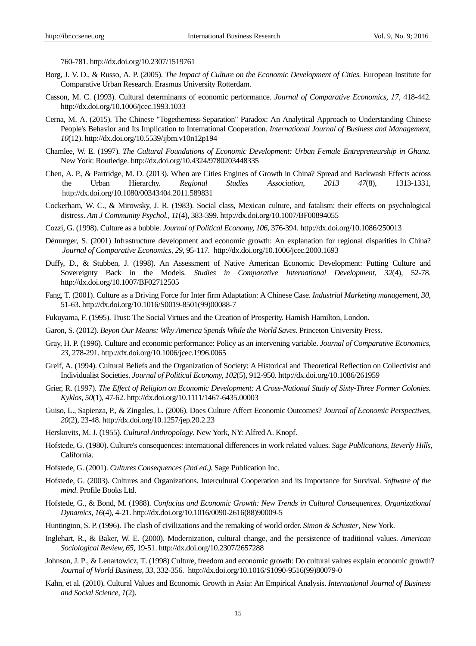760-781. http://dx.doi.org/10.2307/1519761

- Borg, J. V. D., & Russo, A. P. (2005). *The Impact of Culture on the Economic Development of Cities.* European Institute for Comparative Urban Research. Erasmus University Rotterdam.
- Casson, M. C. (1993). Cultural determinants of economic performance. *Journal of Comparative Economics, 17*, 418-442. http://dx.doi.org/10.1006/jcec.1993.1033
- Cerna, M. A. (2015). The Chinese "Togetherness-Separation" Paradox: An Analytical Approach to Understanding Chinese People's Behavior and Its Implication to International Cooperation. *International Journal of Business and Management, 10*(12). http://dx.doi.org/10.5539/ijbm.v10n12p194
- Chamlee, W. E. (1997). *The Cultural Foundations of Economic Development: Urban Female Entrepreneurship in Ghana*. New York: Routledge. http://dx.doi.org/10.4324/9780203448335
- Chen, A. P., & Partridge, M. D. (2013). When are Cities Engines of Growth in China? Spread and Backwash Effects across the Urban Hierarchy. *Regional Studies Association, 2013 47*(8), 1313-1331, http://dx.doi.org/10.1080/00343404.2011.589831
- Cockerham, W. C., & Mirowsky, J. R. (1983). Social class, Mexican culture, and fatalism: their effects on psychological distress. *Am J Community Psychol., 11*(4), 383-399. http://dx.doi.org/10.1007/BF00894055
- Cozzi, G. (1998). Culture as a bubble. *Journal of Political Economy, 106*, 376-394. http://dx.doi.org/10.1086/250013
- Démurger, S. (2001) Infrastructure development and economic growth: An explanation for regional disparities in China? *Journal of Comparative Economics, 29,* 95-117. http://dx.doi.org/10.1006/jcec.2000.1693
- Duffy, D., & Stubben, J. (1998). An Assessment of Native American Economic Development: Putting Culture and Sovereignty Back in the Models. *Studies in Comparative International Development, 32*(4), 52-78. http://dx.doi.org/10.1007/BF02712505
- Fang, T. (2001). Culture as a Driving Force for Inter firm Adaptation: A Chinese Case. *Industrial Marketing management, 30*, 51-63. http://dx.doi.org/10.1016/S0019-8501(99)00088-7
- Fukuyama, F. (1995). Trust: The Social Virtues and the Creation of Prosperity. Hamish Hamilton, London.
- Garon, S. (2012). *Beyon Our Means: Why America Spends While the World Saves*. Princeton University Press.
- Gray, H. P. (1996). Culture and economic performance: Policy as an intervening variable. *Journal of Comparative Economics, 23*, 278-291. http://dx.doi.org/10.1006/jcec.1996.0065
- Greif, A. (1994). Cultural Beliefs and the Organization of Society: A Historical and Theoretical Reflection on Collectivist and Individualist Societies. *Journal of Political Economy, 102*(5), 912-950. http://dx.doi.org/10.1086/261959
- Grier, R. (1997). *The Effect of Religion on Economic Development: A Cross-National Study of Sixty-Three Former Colonies. Kyklos, 50*(1), 47-62. http://dx.doi.org/10.1111/1467-6435.00003
- Guiso, L., Sapienza, P., & Zingales, L. (2006). Does Culture Affect Economic Outcomes? *Journal of Economic Perspectives, 20*(2), 23-48. http://dx.doi.org/10.1257/jep.20.2.23
- Herskovits, M. J. (1955). *Cultural Anthropology*. New York, NY: Alfred A. Knopf.
- Hofstede, G. (1980). Culture's consequences: international differences in work related values. *Sage Publications*, *Beverly Hills*, California.
- Hofstede, G. (2001). *Cultures Consequences (2nd ed.)*. Sage Publication Inc.
- Hofstede, G. (2003). Cultures and Organizations. Intercultural Cooperation and its Importance for Survival. *Software of the mind*. Profile Books Ltd.
- Hofstede, G., & Bond, M. (1988). *Confucius and Economic Growth: New Trends in Cultural Consequences. Organizational Dynamics, 16*(4), 4-21. http://dx.doi.org/10.1016/0090-2616(88)90009-5
- Huntington, S. P. (1996). The clash of civilizations and the remaking of world order. *Simon & Schuster*, New York.
- Inglehart, R., & Baker, W. E. (2000). Modernization, cultural change, and the persistence of traditional values. *American Sociological Review, 65*, 19-51. http://dx.doi.org/10.2307/2657288
- Johnson, J. P., & Lenartowicz, T. (1998) Culture, freedom and economic growth: Do cultural values explain economic growth? *Journal of World Business, 33*, 332-356. http://dx.doi.org/10.1016/S1090-9516(99)80079-0
- Kahn, et al. (2010). Cultural Values and Economic Growth in Asia: An Empirical Analysis. *International Journal of Business and Social Science, 1*(2).